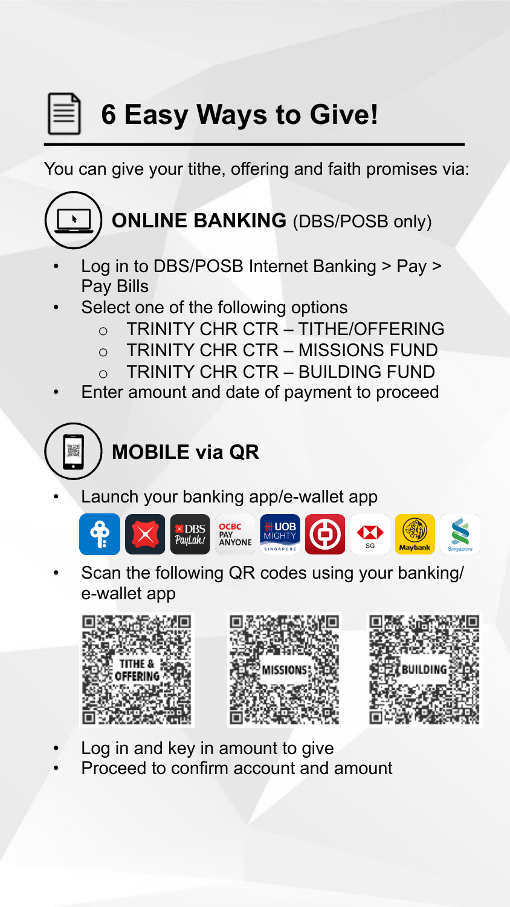## **6 Easy Ways to Give!**

You can give your tithe, offering and faith promises via:



- Log in to DBS/POSB Internet Banking > Pay > Pay Bills
- Select one of the following options
	- o TRINITY CHR CTR TITHE/OFFERING
		- o TRINITY CHR CTR MISSIONS FUND
	- o TRINITY CHR CTR BUILDING FUND
- Enter amount and date of payment to proceed

## **MOBILE via QR**

• Launch your banking app/e-wallet app



Scan the following QR codes using your banking/ e-wallet app







- Log in and key in amount to give
- Proceed to confirm account and amount